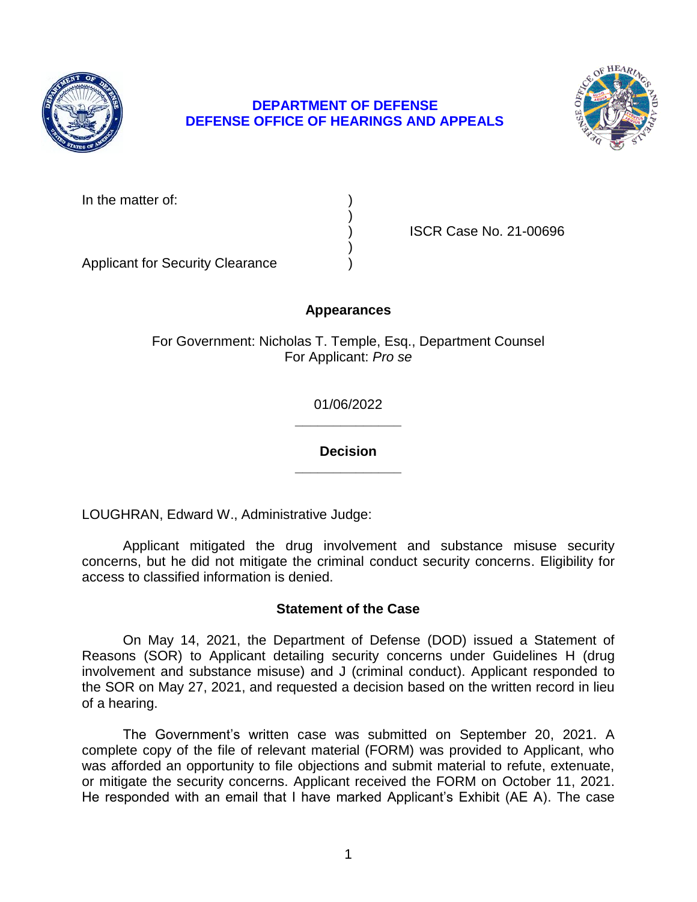

# **DEPARTMENT OF DEFENSE DEFENSE OFFICE OF HEARINGS AND APPEALS**



In the matter of:

) ISCR Case No. 21-00696

Applicant for Security Clearance )

# **Appearances**

)

)

For Government: Nicholas T. Temple, Esq., Department Counsel For Applicant: *Pro se* 

> **\_\_\_\_\_\_\_\_\_\_\_\_\_\_**  01/06/2022

> **\_\_\_\_\_\_\_\_\_\_\_\_\_\_ Decision**

LOUGHRAN, Edward W., Administrative Judge:

 Applicant mitigated the drug involvement and substance misuse security concerns, but he did not mitigate the criminal conduct security concerns. Eligibility for access to classified information is denied.

## **Statement of the Case**

 On May 14, 2021, the Department of Defense (DOD) issued a Statement of involvement and substance misuse) and J (criminal conduct). Applicant responded to the SOR on May 27, 2021, and requested a decision based on the written record in lieu Reasons (SOR) to Applicant detailing security concerns under Guidelines H (drug of a hearing.

 The Government's written case was submitted on September 20, 2021. A complete copy of the file of relevant material (FORM) was provided to Applicant, who was afforded an opportunity to file objections and submit material to refute, extenuate, or mitigate the security concerns. Applicant received the FORM on October 11, 2021. He responded with an email that I have marked Applicant's Exhibit (AE A). The case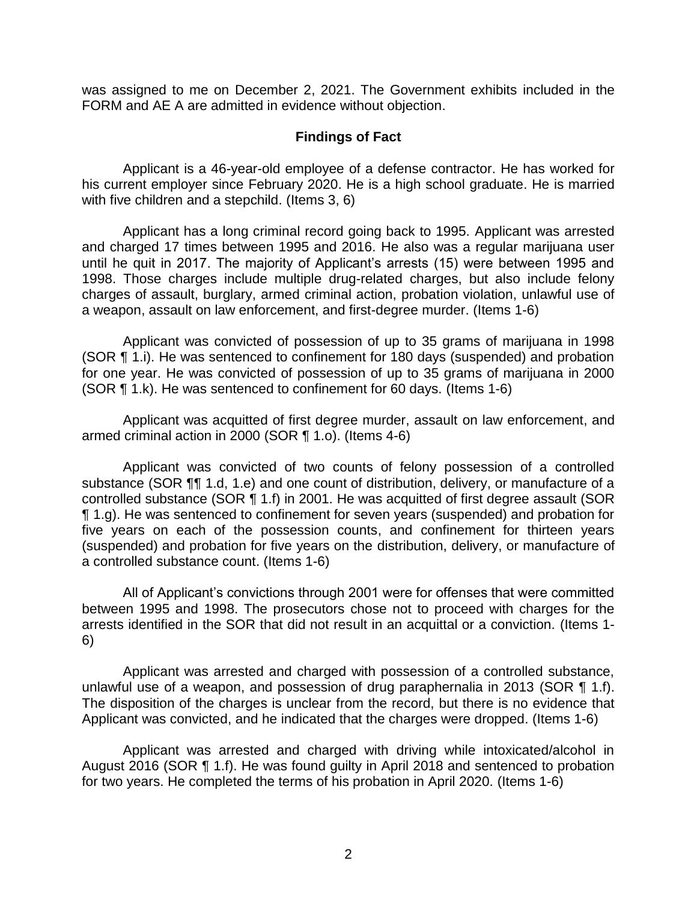was assigned to me on December 2, 2021. The Government exhibits included in the FORM and AE A are admitted in evidence without objection.

### **Findings of Fact**

 Applicant is a 46-year-old employee of a defense contractor. He has worked for his current employer since February 2020. He is a high school graduate. He is married with five children and a stepchild. (Items 3, 6)

 Applicant has a long criminal record going back to 1995. Applicant was arrested and charged 17 times between 1995 and 2016. He also was a regular marijuana user until he quit in 2017. The majority of Applicant's arrests (15) were between 1995 and 1998. Those charges include multiple drug-related charges, but also include felony charges of assault, burglary, armed criminal action, probation violation, unlawful use of a weapon, assault on law enforcement, and first-degree murder. (Items 1-6)

 Applicant was convicted of possession of up to 35 grams of marijuana in 1998 (SOR ¶ 1.i). He was sentenced to confinement for 180 days (suspended) and probation for one year. He was convicted of possession of up to 35 grams of marijuana in 2000 (SOR ¶ 1.k). He was sentenced to confinement for 60 days. (Items 1-6)

 Applicant was acquitted of first degree murder, assault on law enforcement, and armed criminal action in 2000 (SOR ¶ 1.o). (Items 4-6)

 Applicant was convicted of two counts of felony possession of a controlled substance (SOR ¶¶ 1.d, 1.e) and one count of distribution, delivery, or manufacture of a controlled substance (SOR ¶ 1.f) in 2001. He was acquitted of first degree assault (SOR ¶ 1.g). He was sentenced to confinement for seven years (suspended) and probation for five years on each of the possession counts, and confinement for thirteen years (suspended) and probation for five years on the distribution, delivery, or manufacture of a controlled substance count. (Items 1-6)

All of Applicant's convictions through 2001 were for offenses that were committed between 1995 and 1998. The prosecutors chose not to proceed with charges for the arrests identified in the SOR that did not result in an acquittal or a conviction. (Items 1- 6)

 Applicant was arrested and charged with possession of a controlled substance, unlawful use of a weapon, and possession of drug paraphernalia in 2013 (SOR  $\P$  1.f). The disposition of the charges is unclear from the record, but there is no evidence that Applicant was convicted, and he indicated that the charges were dropped. (Items 1-6)

 Applicant was arrested and charged with driving while intoxicated/alcohol in August 2016 (SOR ¶ 1.f). He was found guilty in April 2018 and sentenced to probation for two years. He completed the terms of his probation in April 2020. (Items 1-6)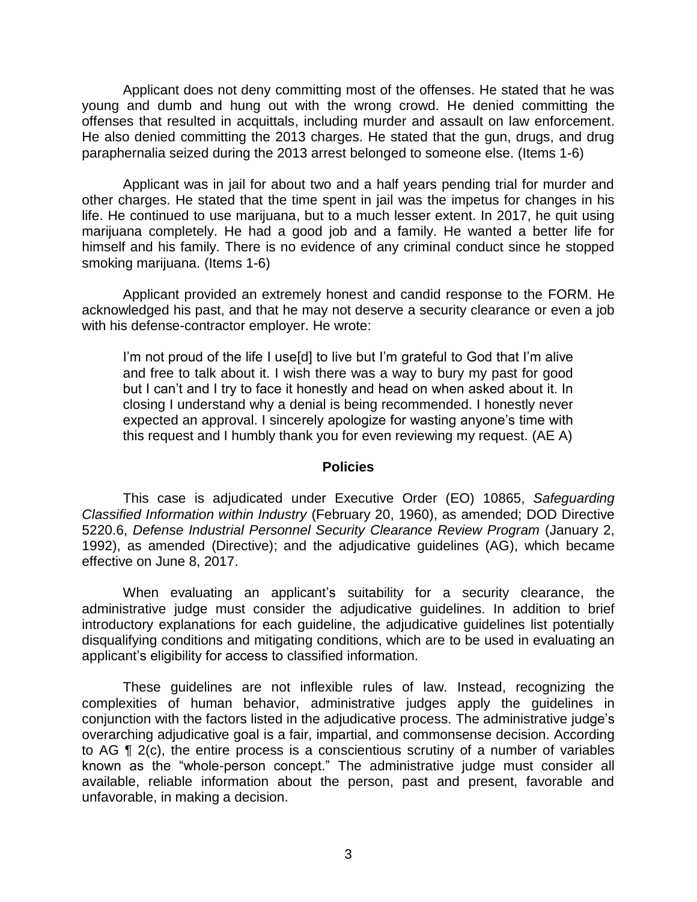Applicant does not deny committing most of the offenses. He stated that he was young and dumb and hung out with the wrong crowd. He denied committing the offenses that resulted in acquittals, including murder and assault on law enforcement. He also denied committing the 2013 charges. He stated that the gun, drugs, and drug paraphernalia seized during the 2013 arrest belonged to someone else. (Items 1-6)

 Applicant was in jail for about two and a half years pending trial for murder and other charges. He stated that the time spent in jail was the impetus for changes in his life. He continued to use marijuana, but to a much lesser extent. In 2017, he quit using marijuana completely. He had a good job and a family. He wanted a better life for himself and his family. There is no evidence of any criminal conduct since he stopped smoking marijuana. (Items 1-6)

 Applicant provided an extremely honest and candid response to the FORM. He acknowledged his past, and that he may not deserve a security clearance or even a job with his defense-contractor employer. He wrote:

I'm not proud of the life I use[d] to live but I'm grateful to God that I'm alive and free to talk about it. I wish there was a way to bury my past for good but I can't and I try to face it honestly and head on when asked about it. In closing I understand why a denial is being recommended. I honestly never expected an approval. I sincerely apologize for wasting anyone's time with this request and I humbly thank you for even reviewing my request. (AE A)

#### **Policies**

 *Classified Information within Industry* (February 20, 1960), as amended; DOD Directive 5220.6, *Defense Industrial Personnel Security Clearance Review Program* (January 2, 1992), as amended (Directive); and the adjudicative guidelines (AG), which became This case is adjudicated under Executive Order (EO) 10865, *Safeguarding*  effective on June 8, 2017.

 When evaluating an applicant's suitability for a security clearance, the administrative judge must consider the adjudicative guidelines. In addition to brief introductory explanations for each guideline, the adjudicative guidelines list potentially disqualifying conditions and mitigating conditions, which are to be used in evaluating an applicant's eligibility for access to classified information.

 These guidelines are not inflexible rules of law. Instead, recognizing the complexities of human behavior, administrative judges apply the guidelines in conjunction with the factors listed in the adjudicative process. The administrative judge's overarching adjudicative goal is a fair, impartial, and commonsense decision. According to AG ¶ 2(c), the entire process is a conscientious scrutiny of a number of variables known as the "whole-person concept." The administrative judge must consider all available, reliable information about the person, past and present, favorable and unfavorable, in making a decision.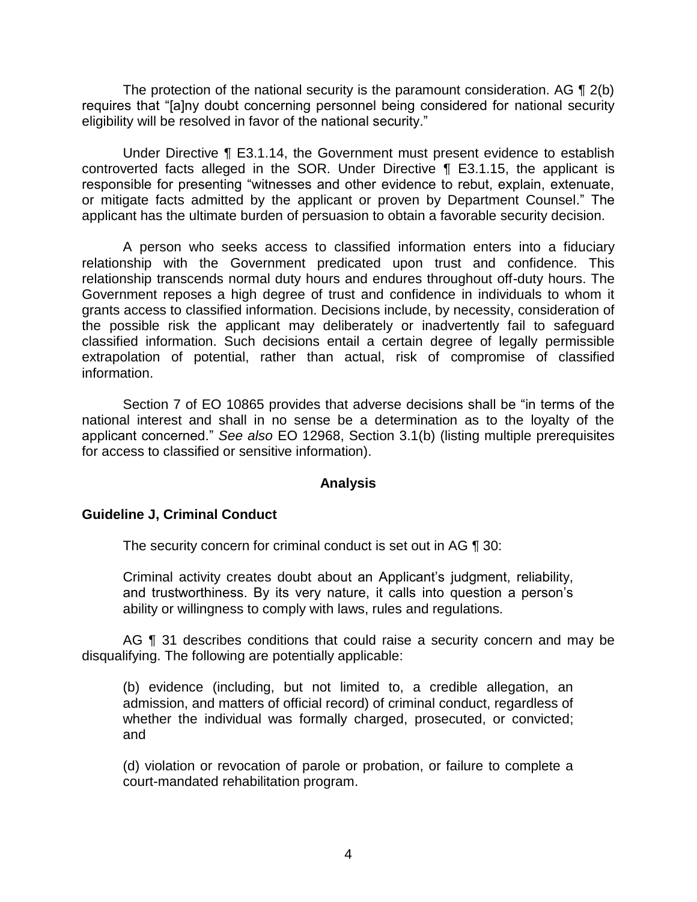The protection of the national security is the paramount consideration. AG  $\P$  2(b) eligibility will be resolved in favor of the national security." requires that "[a]ny doubt concerning personnel being considered for national security

 Under Directive ¶ E3.1.14, the Government must present evidence to establish controverted facts alleged in the SOR. Under Directive ¶ E3.1.15, the applicant is responsible for presenting "witnesses and other evidence to rebut, explain, extenuate, or mitigate facts admitted by the applicant or proven by Department Counsel." The applicant has the ultimate burden of persuasion to obtain a favorable security decision.

 A person who seeks access to classified information enters into a fiduciary relationship with the Government predicated upon trust and confidence. This relationship transcends normal duty hours and endures throughout off-duty hours. The Government reposes a high degree of trust and confidence in individuals to whom it grants access to classified information. Decisions include, by necessity, consideration of the possible risk the applicant may deliberately or inadvertently fail to safeguard classified information. Such decisions entail a certain degree of legally permissible extrapolation of potential, rather than actual, risk of compromise of classified information.

 Section 7 of EO 10865 provides that adverse decisions shall be "in terms of the national interest and shall in no sense be a determination as to the loyalty of the applicant concerned." *See also* EO 12968, Section 3.1(b) (listing multiple prerequisites for access to classified or sensitive information).

### **Analysis**

## **Guideline J, Criminal Conduct**

The security concern for criminal conduct is set out in AG ¶ 30:

Criminal activity creates doubt about an Applicant's judgment, reliability, and trustworthiness. By its very nature, it calls into question a person's ability or willingness to comply with laws, rules and regulations.

AG ¶ 31 describes conditions that could raise a security concern and may be disqualifying. The following are potentially applicable:

(b) evidence (including, but not limited to, a credible allegation, an admission, and matters of official record) of criminal conduct, regardless of whether the individual was formally charged, prosecuted, or convicted; and

 (d) violation or revocation of parole or probation, or failure to complete a court-mandated rehabilitation program.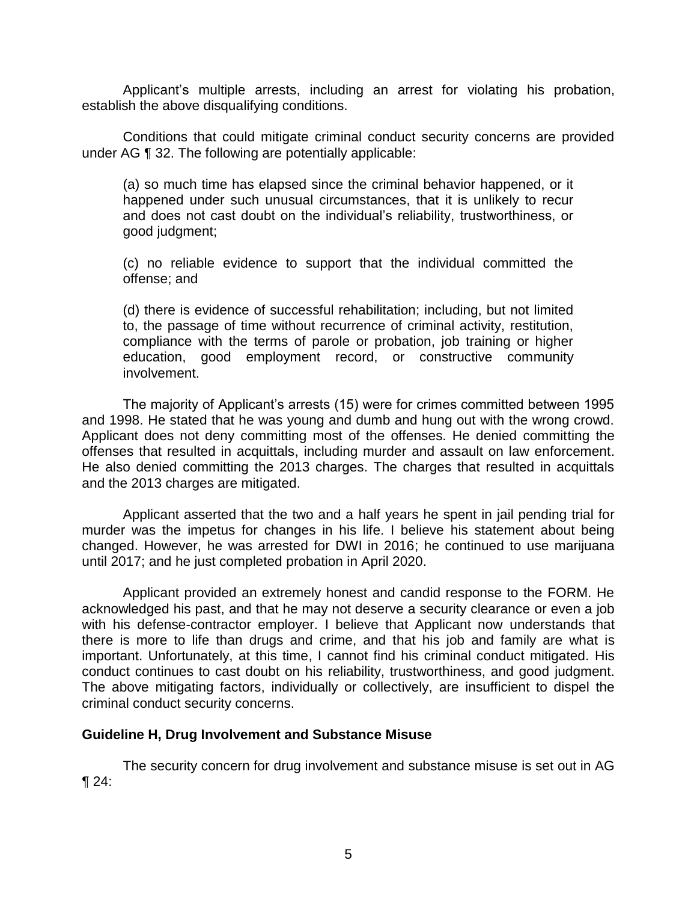Applicant's multiple arrests, including an arrest for violating his probation, establish the above disqualifying conditions.

Conditions that could mitigate criminal conduct security concerns are provided under AG ¶ 32. The following are potentially applicable:

(a) so much time has elapsed since the criminal behavior happened, or it happened under such unusual circumstances, that it is unlikely to recur and does not cast doubt on the individual's reliability, trustworthiness, or good judgment;

(c) no reliable evidence to support that the individual committed the offense; and

 (d) there is evidence of successful rehabilitation; including, but not limited to, the passage of time without recurrence of criminal activity, restitution, compliance with the terms of parole or probation, job training or higher education, good employment record, or constructive community involvement.

 The majority of Applicant's arrests (15) were for crimes committed between 1995 and 1998. He stated that he was young and dumb and hung out with the wrong crowd. Applicant does not deny committing most of the offenses. He denied committing the offenses that resulted in acquittals, including murder and assault on law enforcement. He also denied committing the 2013 charges. The charges that resulted in acquittals and the 2013 charges are mitigated.

 Applicant asserted that the two and a half years he spent in jail pending trial for murder was the impetus for changes in his life. I believe his statement about being changed. However, he was arrested for DWI in 2016; he continued to use marijuana until 2017; and he just completed probation in April 2020.

 Applicant provided an extremely honest and candid response to the FORM. He acknowledged his past, and that he may not deserve a security clearance or even a job there is more to life than drugs and crime, and that his job and family are what is important. Unfortunately, at this time, I cannot find his criminal conduct mitigated. His The above mitigating factors, individually or collectively, are insufficient to dispel the with his defense-contractor employer. I believe that Applicant now understands that conduct continues to cast doubt on his reliability, trustworthiness, and good judgment. criminal conduct security concerns.

### **Guideline H, Drug Involvement and Substance Misuse**

 The security concern for drug involvement and substance misuse is set out in AG  $\P$  24:  $\sqrt{24}$ :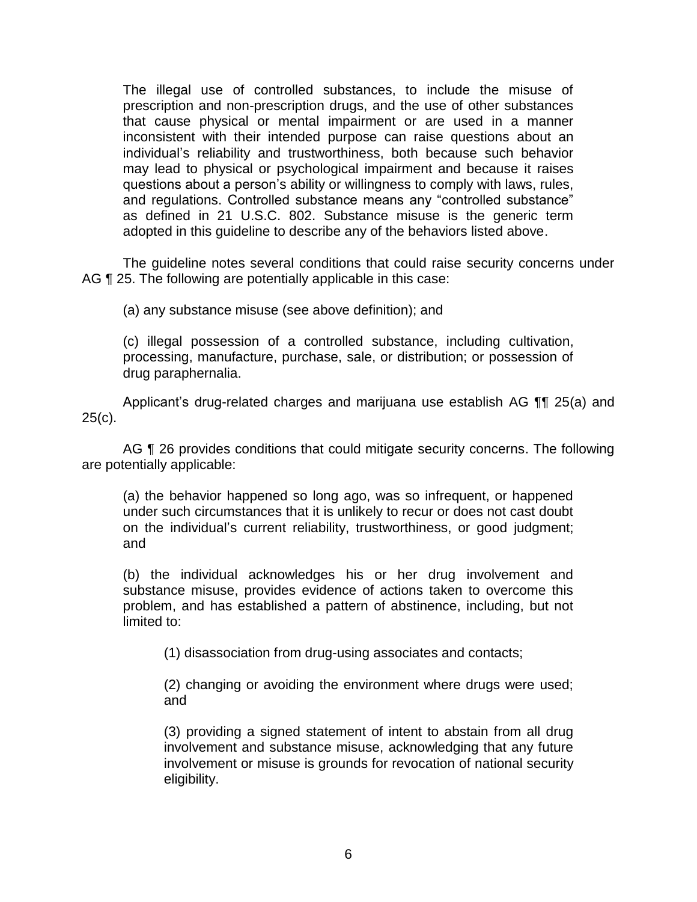The illegal use of controlled substances, to include the misuse of prescription and non-prescription drugs, and the use of other substances that cause physical or mental impairment or are used in a manner inconsistent with their intended purpose can raise questions about an individual's reliability and trustworthiness, both because such behavior may lead to physical or psychological impairment and because it raises questions about a person's ability or willingness to comply with laws, rules, and regulations. Controlled substance means any "controlled substance" as defined in 21 U.S.C. 802. Substance misuse is the generic term adopted in this guideline to describe any of the behaviors listed above.

 The guideline notes several conditions that could raise security concerns under AG ¶ 25. The following are potentially applicable in this case:

(a) any substance misuse (see above definition); and

 (c) illegal possession of a controlled substance, including cultivation, processing, manufacture, purchase, sale, or distribution; or possession of drug paraphernalia.

Applicant's drug-related charges and marijuana use establish AG ¶¶ 25(a) and  $25(c)$ .

AG ¶ 26 provides conditions that could mitigate security concerns. The following are potentially applicable:

(a) the behavior happened so long ago, was so infrequent, or happened under such circumstances that it is unlikely to recur or does not cast doubt on the individual's current reliability, trustworthiness, or good judgment; and

(b) the individual acknowledges his or her drug involvement and substance misuse, provides evidence of actions taken to overcome this problem, and has established a pattern of abstinence, including, but not limited to:

(1) disassociation from drug-using associates and contacts;

(2) changing or avoiding the environment where drugs were used; and

 (3) providing a signed statement of intent to abstain from all drug involvement and substance misuse, acknowledging that any future involvement or misuse is grounds for revocation of national security eligibility.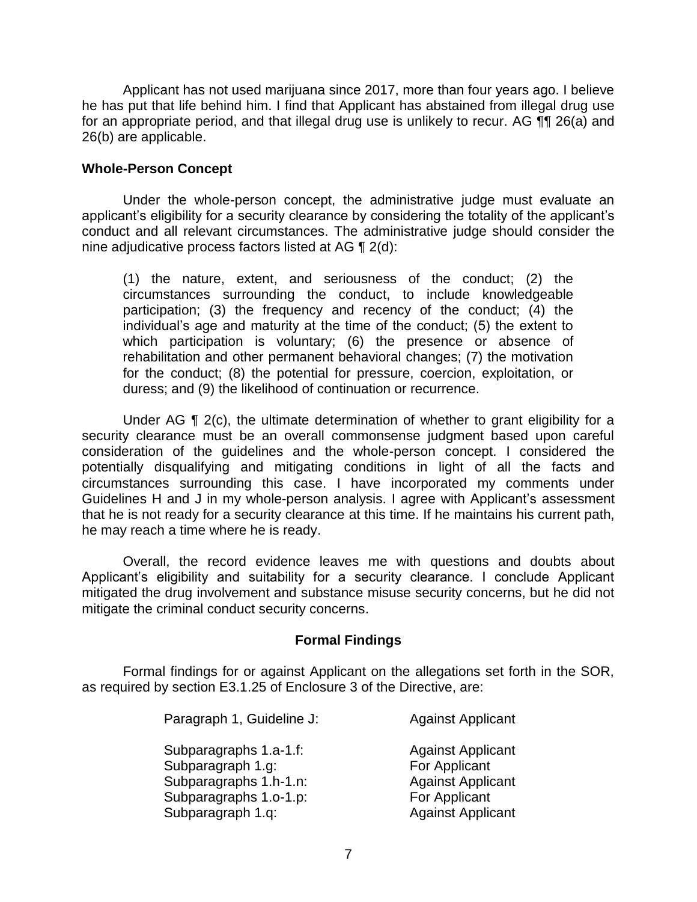Applicant has not used marijuana since 2017, more than four years ago. I believe he has put that life behind him. I find that Applicant has abstained from illegal drug use for an appropriate period, and that illegal drug use is unlikely to recur. AG ¶¶ 26(a) and 26(b) are applicable.

### **Whole-Person Concept**

Under the whole-person concept, the administrative judge must evaluate an applicant's eligibility for a security clearance by considering the totality of the applicant's conduct and all relevant circumstances. The administrative judge should consider the nine adjudicative process factors listed at AG ¶ 2(d):

(1) the nature, extent, and seriousness of the conduct; (2) the circumstances surrounding the conduct, to include knowledgeable participation; (3) the frequency and recency of the conduct; (4) the individual's age and maturity at the time of the conduct; (5) the extent to which participation is voluntary; (6) the presence or absence of rehabilitation and other permanent behavioral changes; (7) the motivation for the conduct; (8) the potential for pressure, coercion, exploitation, or duress; and (9) the likelihood of continuation or recurrence.

Under AG  $\P$  2(c), the ultimate determination of whether to grant eligibility for a security clearance must be an overall commonsense judgment based upon careful consideration of the guidelines and the whole-person concept. I considered the potentially disqualifying and mitigating conditions in light of all the facts and circumstances surrounding this case. I have incorporated my comments under Guidelines H and J in my whole-person analysis. I agree with Applicant's assessment that he is not ready for a security clearance at this time. If he maintains his current path, he may reach a time where he is ready.

Overall, the record evidence leaves me with questions and doubts about Applicant's eligibility and suitability for a security clearance. I conclude Applicant mitigated the drug involvement and substance misuse security concerns, but he did not mitigate the criminal conduct security concerns.

### **Formal Findings**

 Formal findings for or against Applicant on the allegations set forth in the SOR, as required by section E3.1.25 of Enclosure 3 of the Directive, are:

| <b>Against Applicant</b> |
|--------------------------|
| <b>Against Applicant</b> |
| For Applicant            |
| <b>Against Applicant</b> |
| For Applicant            |
| <b>Against Applicant</b> |
|                          |